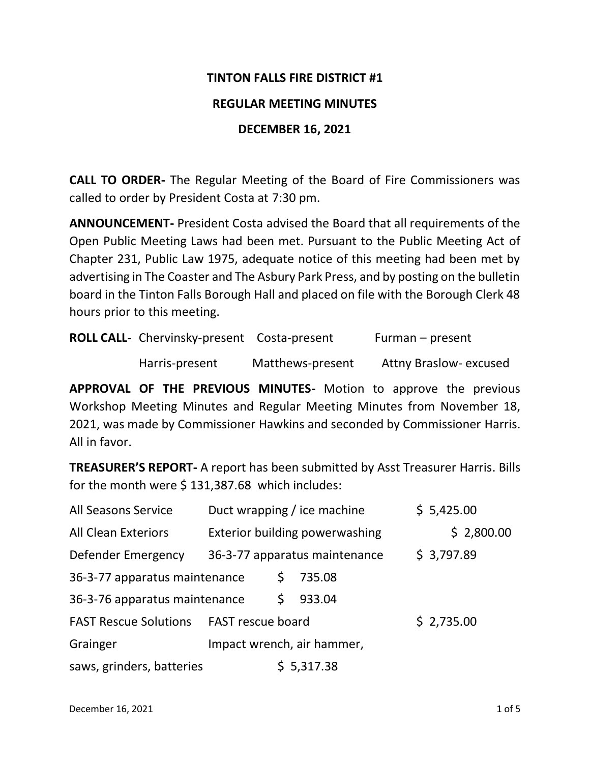#### **TINTON FALLS FIRE DISTRICT #1**

#### **REGULAR MEETING MINUTES**

#### **DECEMBER 16, 2021**

**CALL TO ORDER-** The Regular Meeting of the Board of Fire Commissioners was called to order by President Costa at 7:30 pm.

**ANNOUNCEMENT-** President Costa advised the Board that all requirements of the Open Public Meeting Laws had been met. Pursuant to the Public Meeting Act of Chapter 231, Public Law 1975, adequate notice of this meeting had been met by advertising in The Coaster and The Asbury Park Press, and by posting on the bulletin board in the Tinton Falls Borough Hall and placed on file with the Borough Clerk 48 hours prior to this meeting.

| <b>ROLL CALL-</b> Chervinsky-present Costa-present |                  | Furman – present              |  |
|----------------------------------------------------|------------------|-------------------------------|--|
| Harris-present                                     | Matthews-present | <b>Attny Braslow- excused</b> |  |

**APPROVAL OF THE PREVIOUS MINUTES-** Motion to approve the previous Workshop Meeting Minutes and Regular Meeting Minutes from November 18, 2021, was made by Commissioner Hawkins and seconded by Commissioner Harris. All in favor.

**TREASURER'S REPORT-** A report has been submitted by Asst Treasurer Harris. Bills for the month were \$ 131,387.68 which includes:

| All Seasons Service                            | Duct wrapping / ice machine           |  |                               | \$5,425.00 |            |  |
|------------------------------------------------|---------------------------------------|--|-------------------------------|------------|------------|--|
| <b>All Clean Exteriors</b>                     | <b>Exterior building powerwashing</b> |  |                               |            | \$2,800.00 |  |
| Defender Emergency                             |                                       |  | 36-3-77 apparatus maintenance | \$3,797.89 |            |  |
| 36-3-77 apparatus maintenance                  |                                       |  | 735.08                        |            |            |  |
| 36-3-76 apparatus maintenance                  |                                       |  | 933.04                        |            |            |  |
| <b>FAST Rescue Solutions FAST rescue board</b> |                                       |  |                               | \$2,735.00 |            |  |
| Grainger                                       |                                       |  | Impact wrench, air hammer,    |            |            |  |
| saws, grinders, batteries                      |                                       |  | \$5,317.38                    |            |            |  |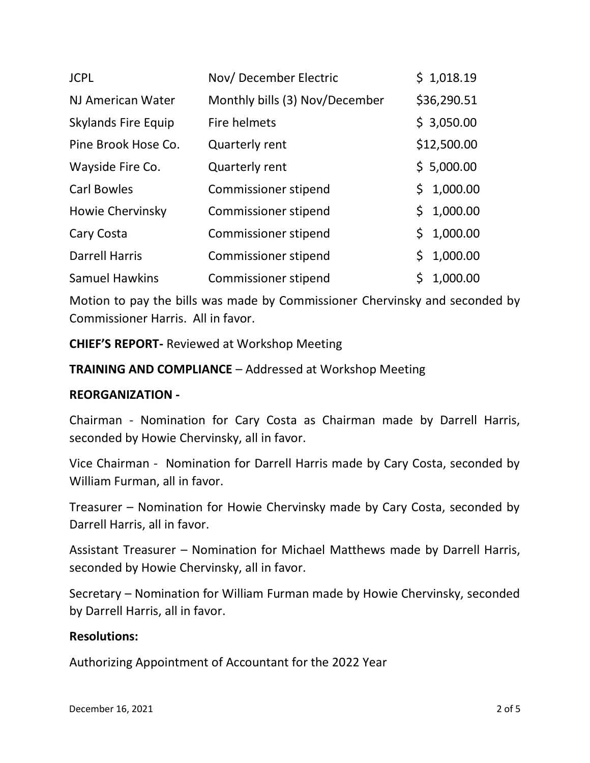| <b>JCPL</b>                | Nov/December Electric          |     | \$1,018.19  |
|----------------------------|--------------------------------|-----|-------------|
| NJ American Water          | Monthly bills (3) Nov/December |     | \$36,290.51 |
| <b>Skylands Fire Equip</b> | Fire helmets                   |     | \$3,050.00  |
| Pine Brook Hose Co.        | <b>Quarterly rent</b>          |     | \$12,500.00 |
| Wayside Fire Co.           | <b>Quarterly rent</b>          |     | \$5,000.00  |
| <b>Carl Bowles</b>         | Commissioner stipend           | \$. | 1,000.00    |
| Howie Chervinsky           | Commissioner stipend           | \$. | 1,000.00    |
| Cary Costa                 | Commissioner stipend           | \$. | 1,000.00    |
| <b>Darrell Harris</b>      | Commissioner stipend           | \$. | 1,000.00    |
| <b>Samuel Hawkins</b>      | <b>Commissioner stipend</b>    |     | 1,000.00    |

Motion to pay the bills was made by Commissioner Chervinsky and seconded by Commissioner Harris. All in favor.

**CHIEF'S REPORT-** Reviewed at Workshop Meeting

**TRAINING AND COMPLIANCE** – Addressed at Workshop Meeting

### **REORGANIZATION -**

Chairman - Nomination for Cary Costa as Chairman made by Darrell Harris, seconded by Howie Chervinsky, all in favor.

Vice Chairman - Nomination for Darrell Harris made by Cary Costa, seconded by William Furman, all in favor.

Treasurer – Nomination for Howie Chervinsky made by Cary Costa, seconded by Darrell Harris, all in favor.

Assistant Treasurer – Nomination for Michael Matthews made by Darrell Harris, seconded by Howie Chervinsky, all in favor.

Secretary – Nomination for William Furman made by Howie Chervinsky, seconded by Darrell Harris, all in favor.

### **Resolutions:**

Authorizing Appointment of Accountant for the 2022 Year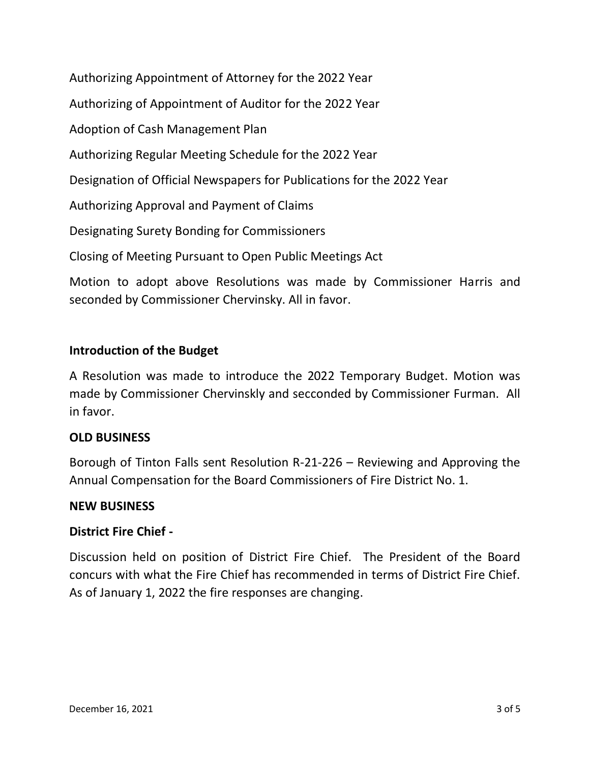Authorizing Appointment of Attorney for the 2022 Year Authorizing of Appointment of Auditor for the 2022 Year Adoption of Cash Management Plan Authorizing Regular Meeting Schedule for the 2022 Year Designation of Official Newspapers for Publications for the 2022 Year Authorizing Approval and Payment of Claims Designating Surety Bonding for Commissioners Closing of Meeting Pursuant to Open Public Meetings Act

Motion to adopt above Resolutions was made by Commissioner Harris and seconded by Commissioner Chervinsky. All in favor.

# **Introduction of the Budget**

A Resolution was made to introduce the 2022 Temporary Budget. Motion was made by Commissioner Chervinskly and secconded by Commissioner Furman. All in favor.

## **OLD BUSINESS**

Borough of Tinton Falls sent Resolution R-21-226 – Reviewing and Approving the Annual Compensation for the Board Commissioners of Fire District No. 1.

### **NEW BUSINESS**

## **District Fire Chief -**

Discussion held on position of District Fire Chief. The President of the Board concurs with what the Fire Chief has recommended in terms of District Fire Chief. As of January 1, 2022 the fire responses are changing.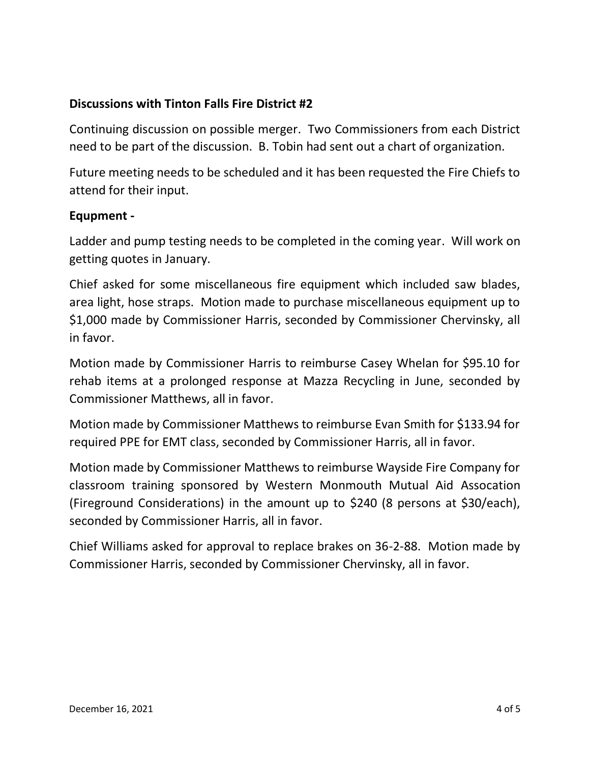### **Discussions with Tinton Falls Fire District #2**

Continuing discussion on possible merger. Two Commissioners from each District need to be part of the discussion. B. Tobin had sent out a chart of organization.

Future meeting needs to be scheduled and it has been requested the Fire Chiefs to attend for their input.

### **Equpment -**

Ladder and pump testing needs to be completed in the coming year. Will work on getting quotes in January.

Chief asked for some miscellaneous fire equipment which included saw blades, area light, hose straps. Motion made to purchase miscellaneous equipment up to \$1,000 made by Commissioner Harris, seconded by Commissioner Chervinsky, all in favor.

Motion made by Commissioner Harris to reimburse Casey Whelan for \$95.10 for rehab items at a prolonged response at Mazza Recycling in June, seconded by Commissioner Matthews, all in favor.

Motion made by Commissioner Matthews to reimburse Evan Smith for \$133.94 for required PPE for EMT class, seconded by Commissioner Harris, all in favor.

Motion made by Commissioner Matthews to reimburse Wayside Fire Company for classroom training sponsored by Western Monmouth Mutual Aid Assocation (Fireground Considerations) in the amount up to \$240 (8 persons at \$30/each), seconded by Commissioner Harris, all in favor.

Chief Williams asked for approval to replace brakes on 36-2-88. Motion made by Commissioner Harris, seconded by Commissioner Chervinsky, all in favor.